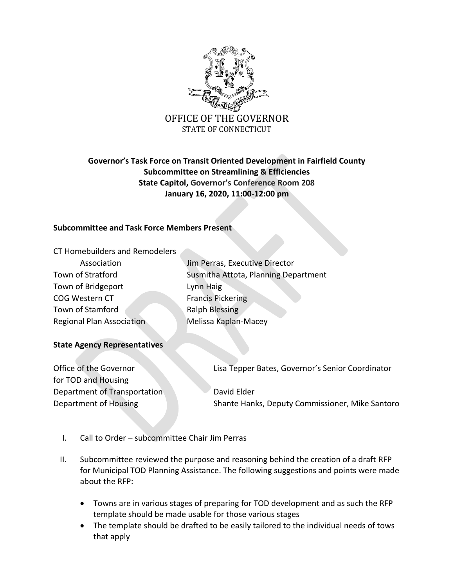

# **Governor's Task Force on Transit Oriented Development in Fairfield County Subcommittee on Streamlining & Efficiencies State Capitol, Governor's Conference Room 208 January 16, 2020, 11:00-12:00 pm**

## **Subcommittee and Task Force Members Present**

| CT Homebuilders and Remodelers   |                                      |
|----------------------------------|--------------------------------------|
| Association                      | Jim Perras, Executive Director       |
| Town of Stratford                | Susmitha Attota, Planning Department |
| Town of Bridgeport               | Lynn Haig                            |
| <b>COG Western CT</b>            | <b>Francis Pickering</b>             |
| Town of Stamford                 | <b>Ralph Blessing</b>                |
| <b>Regional Plan Association</b> | Melissa Kaplan-Macey                 |
|                                  |                                      |

### **State Agency Representatives**

for TOD and Housing Department of Transportation David Elder

Office of the Governor Lisa Tepper Bates, Governor's Senior Coordinator

Department of Housing Shante Hanks, Deputy Commissioner, Mike Santoro

- I. Call to Order subcommittee Chair Jim Perras
- II. Subcommittee reviewed the purpose and reasoning behind the creation of a draft RFP for Municipal TOD Planning Assistance. The following suggestions and points were made about the RFP:
	- Towns are in various stages of preparing for TOD development and as such the RFP template should be made usable for those various stages
	- The template should be drafted to be easily tailored to the individual needs of tows that apply